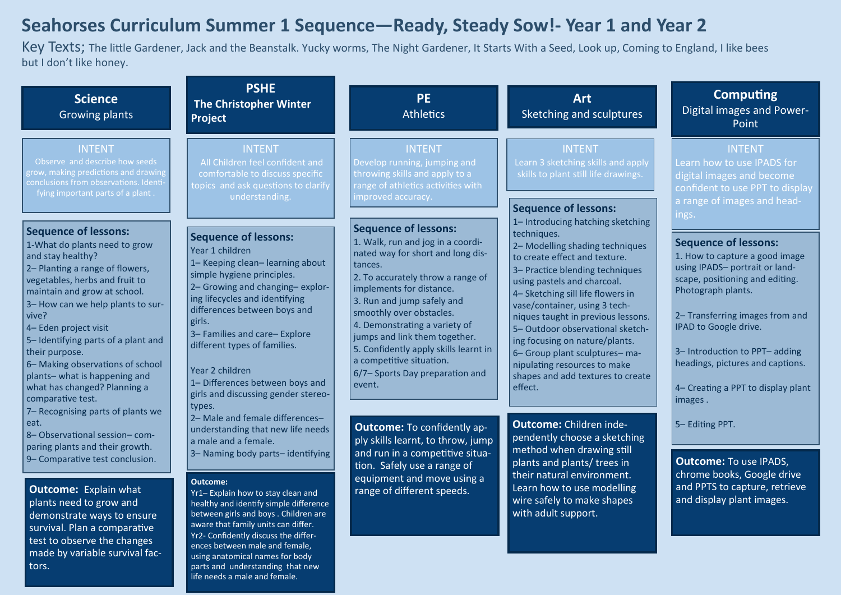# **Seahorses Curriculum Summer 1 Sequence—Ready, Steady Sow!- Year 1 and Year 2**

Key Texts; The little Gardener, Jack and the Beanstalk. Yucky worms, The Night Gardener, It Starts With a Seed, Look up, Coming to England, I like bees but I don't like honey.

| <b>Science</b><br><b>Growing plants</b>                                                                                                                                                                                                                                                                                                                                                                                                         | <b>PSHE</b><br><b>The Christopher Winter</b><br><b>Project</b>                                                                                                                                                                                                                                                                                                                                              | <b>PE</b><br><b>Athletics</b>                                                                                                                                                                                                                                                                                                                                                                                                   | <b>Art</b><br>Sketching and sculptures                                                                                                                                                                                                                                                                                                                                                                                                                                                    | <b>Computing</b><br>Digital images and Power-<br>Point                                                                                                                                                                                                                                                                                    |
|-------------------------------------------------------------------------------------------------------------------------------------------------------------------------------------------------------------------------------------------------------------------------------------------------------------------------------------------------------------------------------------------------------------------------------------------------|-------------------------------------------------------------------------------------------------------------------------------------------------------------------------------------------------------------------------------------------------------------------------------------------------------------------------------------------------------------------------------------------------------------|---------------------------------------------------------------------------------------------------------------------------------------------------------------------------------------------------------------------------------------------------------------------------------------------------------------------------------------------------------------------------------------------------------------------------------|-------------------------------------------------------------------------------------------------------------------------------------------------------------------------------------------------------------------------------------------------------------------------------------------------------------------------------------------------------------------------------------------------------------------------------------------------------------------------------------------|-------------------------------------------------------------------------------------------------------------------------------------------------------------------------------------------------------------------------------------------------------------------------------------------------------------------------------------------|
| <b>INTENT</b><br>Observe and describe how seeds<br>grow, making predictions and drawing<br>conclusions from observations. Identi-<br>fying important parts of a plant                                                                                                                                                                                                                                                                           | <b>INTENT</b><br>All Children feel confident and<br>comfortable to discuss specific<br>topics and ask questions to clarify<br>understanding.                                                                                                                                                                                                                                                                | <b>INTENT</b><br>Develop running, jumping and<br>throwing skills and apply to a<br>range of athletics activities with<br>improved accuracy.                                                                                                                                                                                                                                                                                     | <b>INTENT</b><br>Learn 3 sketching skills and apply<br>skills to plant still life drawings.<br><b>Sequence of lessons:</b>                                                                                                                                                                                                                                                                                                                                                                | INTENT<br>Learn how to use IPADS for<br>digital images and become<br>confident to use PPT to display<br>a range of images and head-<br>ings.                                                                                                                                                                                              |
| <b>Sequence of lessons:</b><br>1-What do plants need to grow<br>and stay healthy?<br>2- Planting a range of flowers,<br>vegetables, herbs and fruit to<br>maintain and grow at school.<br>3- How can we help plants to sur-<br>vive?<br>4- Eden project visit<br>5- Identifying parts of a plant and<br>their purpose.<br>6- Making observations of school<br>plants-what is happening and<br>what has changed? Planning a<br>comparative test. | <b>Sequence of lessons:</b><br>Year 1 children<br>1- Keeping clean-learning about<br>simple hygiene principles.<br>2- Growing and changing-explor-<br>ing lifecycles and identifying<br>differences between boys and<br>girls.<br>3- Families and care-Explore<br>different types of families.<br>Year 2 children<br>1- Differences between boys and<br>girls and discussing gender stereo-<br>types.       | <b>Sequence of lessons:</b><br>1. Walk, run and jog in a coordi-<br>nated way for short and long dis-<br>tances.<br>2. To accurately throw a range of<br>implements for distance.<br>3. Run and jump safely and<br>smoothly over obstacles.<br>4. Demonstrating a variety of<br>jumps and link them together.<br>5. Confidently apply skills learnt in<br>a competitive situation.<br>6/7– Sports Day preparation and<br>event. | 1- Introducing hatching sketching<br>techniques.<br>2- Modelling shading techniques<br>to create effect and texture.<br>3- Practice blending techniques<br>using pastels and charcoal.<br>4- Sketching sill life flowers in<br>vase/container, using 3 tech-<br>niques taught in previous lessons.<br>5-Outdoor observational sketch-<br>ing focusing on nature/plants.<br>6- Group plant sculptures- ma-<br>nipulating resources to make<br>shapes and add textures to create<br>effect. | <b>Sequence of lessons:</b><br>1. How to capture a good image<br>using IPADS- portrait or land-<br>scape, positioning and editing.<br>Photograph plants.<br>2– Transferring images from and<br>IPAD to Google drive.<br>3-Introduction to PPT-adding<br>headings, pictures and captions.<br>4– Creating a PPT to display plant<br>images. |
| 7- Recognising parts of plants we<br>eat.<br>8-Observational session-com-<br>paring plants and their growth.<br>9- Comparative test conclusion.<br><b>Outcome:</b><br><b>Outcome:</b> Explain what<br>plants need to grow and<br>demonstrate ways to ensure<br>survival. Plan a comparative<br>test to observe the changes<br>made by variable survival fac-                                                                                    | 2- Male and female differences-<br>understanding that new life needs<br>a male and a female.<br>3- Naming body parts-identifying<br>Yr1-Explain how to stay clean and<br>healthy and identify simple difference<br>between girls and boys. Children are<br>aware that family units can differ.<br>Yr2- Confidently discuss the differ-<br>ences between male and female,<br>using anatomical names for body | <b>Outcome:</b> To confidently ap-<br>ply skills learnt, to throw, jump<br>and run in a competitive situa-<br>tion. Safely use a range of<br>equipment and move using a<br>range of different speeds.                                                                                                                                                                                                                           | <b>Outcome:</b> Children inde-<br>pendently choose a sketching<br>method when drawing still<br>plants and plants/ trees in<br>their natural environment.<br>Learn how to use modelling<br>wire safely to make shapes<br>with adult support.                                                                                                                                                                                                                                               | 5- Editing PPT.<br><b>Outcome:</b> To use IPADS,<br>chrome books, Google drive<br>and PPTS to capture, retrieve<br>and display plant images.                                                                                                                                                                                              |

parts and understanding that new life needs a male and female.

tors.